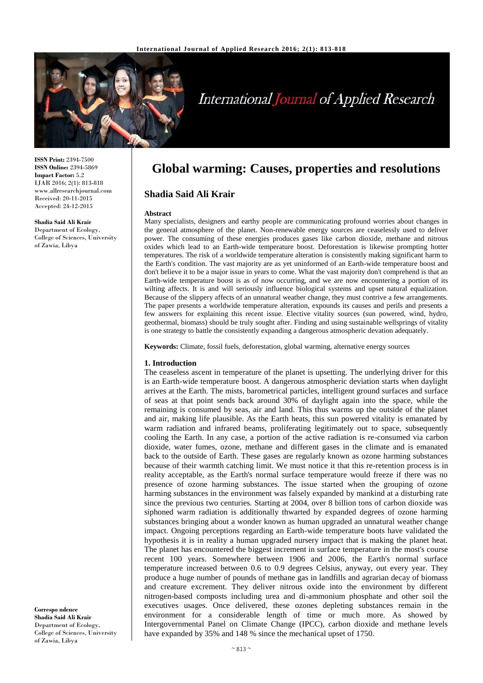

# **International Journal of Applied Research**

**ISSN Print:** 2394-7500 **ISSN Online:** 2394-5869 **Impact Factor:** 5.2 IJAR 2016; 2(1): 813-818 www.allresearchjournal.com Received: 20-11-2015 Accepted: 24-12-2015

#### **Shadia Said Ali Krair**

Department of Ecology, College of Sciences, University of Zawia, Libya

**Global warming: Causes, properties and resolutions**

## **Shadia Said Ali Krair**

#### **Abstract**

Many specialists, designers and earthy people are communicating profound worries about changes in the general atmosphere of the planet. Non-renewable energy sources are ceaselessly used to deliver power. The consuming of these energies produces gases like carbon dioxide, methane and nitrous oxides which lead to an Earth-wide temperature boost. Deforestation is likewise prompting hotter temperatures. The risk of a worldwide temperature alteration is consistently making significant harm to the Earth's condition. The vast majority are as yet uninformed of an Earth-wide temperature boost and don't believe it to be a major issue in years to come. What the vast majority don't comprehend is that an Earth-wide temperature boost is as of now occurring, and we are now encountering a portion of its wilting affects. It is and will seriously influence biological systems and upset natural equalization. Because of the slippery affects of an unnatural weather change, they must contrive a few arrangements. The paper presents a worldwide temperature alteration, expounds its causes and perils and presents a few answers for explaining this recent issue. Elective vitality sources (sun powered, wind, hydro, geothermal, biomass) should be truly sought after. Finding and using sustainable wellsprings of vitality is one strategy to battle the consistently expanding a dangerous atmospheric devation adequately.

**Keywords:** Climate, fossil fuels, deforestation, global warming, alternative energy sources

#### **1. Introduction**

The ceaseless ascent in temperature of the planet is upsetting. The underlying driver for this is an Earth-wide temperature boost. A dangerous atmospheric deviation starts when daylight arrives at the Earth. The mists, barometrical particles, intelligent ground surfaces and surface of seas at that point sends back around 30% of daylight again into the space, while the remaining is consumed by seas, air and land. This thus warms up the outside of the planet and air, making life plausible. As the Earth heats, this sun powered vitality is emanated by warm radiation and infrared beams, proliferating legitimately out to space, subsequently cooling the Earth. In any case, a portion of the active radiation is re-consumed via carbon dioxide, water fumes, ozone, methane and different gases in the climate and is emanated back to the outside of Earth. These gases are regularly known as ozone harming substances because of their warmth catching limit. We must notice it that this re-retention process is in reality acceptable, as the Earth's normal surface temperature would freeze if there was no presence of ozone harming substances. The issue started when the grouping of ozone harming substances in the environment was falsely expanded by mankind at a disturbing rate since the previous two centuries. Starting at 2004, over 8 billion tons of carbon dioxide was siphoned warm radiation is additionally thwarted by expanded degrees of ozone harming substances bringing about a wonder known as human upgraded an unnatural weather change impact. Ongoing perceptions regarding an Earth-wide temperature boots have validated the hypothesis it is in reality a human upgraded nursery impact that is making the planet heat. The planet has encountered the biggest increment in surface temperature in the most's course recent 100 years. Somewhere between 1906 and 2006, the Earth's normal surface temperature increased between 0.6 to 0.9 degrees Celsius, anyway, out every year. They produce a huge number of pounds of methane gas in landfills and agrarian decay of biomass and creature excrement. They deliver nitrous oxide into the environment by different nitrogen-based composts including urea and di-ammonium phosphate and other soil the executives usages. Once delivered, these ozones depleting substances remain in the environment for a considerable length of time or much more. As showed by Intergovernmental Panel on Climate Change (IPCC), carbon dioxide and methane levels have expanded by 35% and 148 % since the mechanical upset of 1750.

**Correspo ndence Shadia Said Ali Krair** Department of Ecology, College of Sciences, University of Zawia, Libya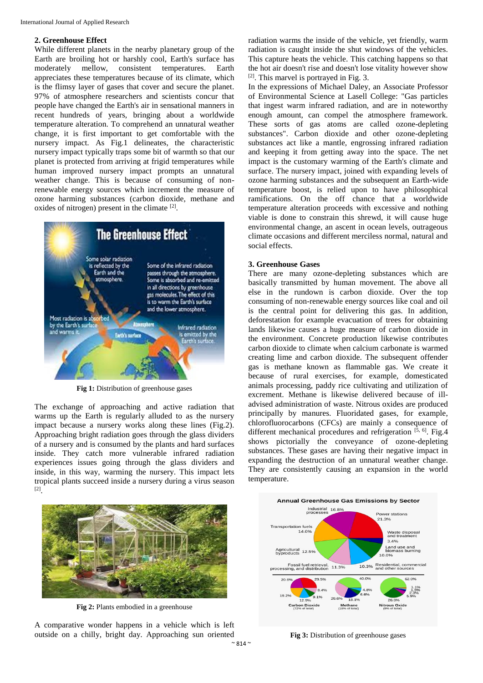## **2. Greenhouse Effect**

While different planets in the nearby planetary group of the Earth are broiling hot or harshly cool, Earth's surface has moderately mellow, consistent temperatures. Earth appreciates these temperatures because of its climate, which is the flimsy layer of gases that cover and secure the planet. 97% of atmosphere researchers and scientists concur that people have changed the Earth's air in sensational manners in recent hundreds of years, bringing about a worldwide temperature alteration. To comprehend an unnatural weather change, it is first important to get comfortable with the nursery impact. As Fig.1 delineates, the characteristic nursery impact typically traps some bit of warmth so that our planet is protected from arriving at frigid temperatures while human improved nursery impact prompts an unnatural weather change. This is because of consuming of nonrenewable energy sources which increment the measure of ozone harming substances (carbon dioxide, methane and oxides of nitrogen) present in the climate [2].



**Fig 1:** Distribution of greenhouse gases

The exchange of approaching and active radiation that warms up the Earth is regularly alluded to as the nursery impact because a nursery works along these lines (Fig.2). Approaching bright radiation goes through the glass dividers of a nursery and is consumed by the plants and hard surfaces inside. They catch more vulnerable infrared radiation experiences issues going through the glass dividers and inside, in this way, warming the nursery. This impact lets tropical plants succeed inside a nursery during a virus season [2] .

radiation warms the inside of the vehicle, yet friendly, warm radiation is caught inside the shut windows of the vehicles. This capture heats the vehicle. This catching happens so that the hot air doesn't rise and doesn't lose vitality however show [2] . This marvel is portrayed in Fig. 3.

In the expressions of Michael Daley, an Associate Professor of Environmental Science at Lasell College: "Gas particles that ingest warm infrared radiation, and are in noteworthy enough amount, can compel the atmosphere framework. These sorts of gas atoms are called ozone-depleting substances". Carbon dioxide and other ozone-depleting substances act like a mantle, engrossing infrared radiation and keeping it from getting away into the space. The net impact is the customary warming of the Earth's climate and surface. The nursery impact, joined with expanding levels of ozone harming substances and the subsequent an Earth-wide temperature boost, is relied upon to have philosophical ramifications. On the off chance that a worldwide temperature alteration proceeds with excessive and nothing viable is done to constrain this shrewd, it will cause huge environmental change, an ascent in ocean levels, outrageous climate occasions and different merciless normal, natural and social effects.

## **3. Greenhouse Gases**

There are many ozone-depleting substances which are basically transmitted by human movement. The above all else in the rundown is carbon dioxide. Over the top consuming of non-renewable energy sources like coal and oil is the central point for delivering this gas. In addition, deforestation for example evacuation of trees for obtaining lands likewise causes a huge measure of carbon dioxide in the environment. Concrete production likewise contributes carbon dioxide to climate when calcium carbonate is warmed creating lime and carbon dioxide. The subsequent offender gas is methane known as flammable gas. We create it because of rural exercises, for example, domesticated animals processing, paddy rice cultivating and utilization of excrement. Methane is likewise delivered because of illadvised administration of waste. Nitrous oxides are produced principally by manures. Fluoridated gases, for example, chlorofluorocarbons (CFCs) are mainly a consequence of different mechanical procedures and refrigeration  $\left[\dot{5}, 6\right]$ . Fig.4 shows pictorially the conveyance of ozone-depleting substances. These gases are having their negative impact in expanding the destruction of an unnatural weather change. They are consistently causing an expansion in the world temperature.



**Fig 2:** Plants embodied in a greenhouse

A comparative wonder happens in a vehicle which is left outside on a chilly, bright day. Approaching sun oriented

**Annual Greenhouse Gas Emissions by Sector** Industrial 16.8% **Power stations Transportation fuels** 14.0% Waste disposal<br>and treatment  $3.4%$ 3.4%<br>Land use and<br>biomass burning<br>10.0% Agricultural 12.5% Fossil fuel retrieval,<br>processing, and distribution 11.3% 10.3% Residential, commercial<br>and other sources 40.0% 62.0% 29.5%  $20.69$  $\frac{1.1\%}{1.5\%}$ <br>2.3%<br>5.9%  $10.20$ .1% 26.0% Carbon Dioxide Methane<br>(18% of total) Nitrous Oxide<br>(9% of total)

**Fig 3:** Distribution of greenhouse gases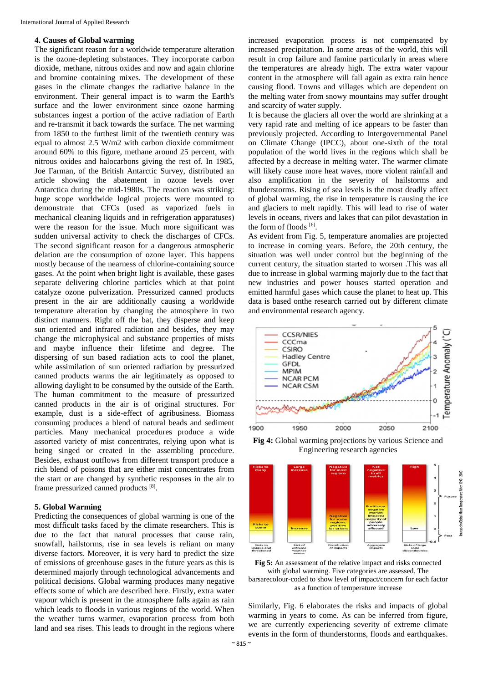#### **4. Causes of Global warming**

The significant reason for a worldwide temperature alteration is the ozone-depleting substances. They incorporate carbon dioxide, methane, nitrous oxides and now and again chlorine and bromine containing mixes. The development of these gases in the climate changes the radiative balance in the environment. Their general impact is to warm the Earth's surface and the lower environment since ozone harming substances ingest a portion of the active radiation of Earth and re-transmit it back towards the surface. The net warming from 1850 to the furthest limit of the twentieth century was equal to almost 2.5 W/m2 with carbon dioxide commitment around 60% to this figure, methane around 25 percent, with nitrous oxides and halocarbons giving the rest of. In 1985, Joe Farman, of the British Antarctic Survey, distributed an article showing the abatement in ozone levels over Antarctica during the mid-1980s. The reaction was striking: huge scope worldwide logical projects were mounted to demonstrate that CFCs (used as vaporized fuels in mechanical cleaning liquids and in refrigeration apparatuses) were the reason for the issue. Much more significant was sudden universal activity to check the discharges of CFCs. The second significant reason for a dangerous atmospheric delation are the consumption of ozone layer. This happens mostly because of the nearness of chlorine-containing source gases. At the point when bright light is available, these gases separate delivering chlorine particles which at that point catalyze ozone pulverization. Pressurized canned products present in the air are additionally causing a worldwide temperature alteration by changing the atmosphere in two distinct manners. Right off the bat, they disperse and keep sun oriented and infrared radiation and besides, they may change the microphysical and substance properties of mists and maybe influence their lifetime and degree. The dispersing of sun based radiation acts to cool the planet, while assimilation of sun oriented radiation by pressurized canned products warms the air legitimately as opposed to allowing daylight to be consumed by the outside of the Earth. The human commitment to the measure of pressurized canned products in the air is of original structures. For example, dust is a side-effect of agribusiness. Biomass consuming produces a blend of natural beads and sediment particles. Many mechanical procedures produce a wide assorted variety of mist concentrates, relying upon what is being singed or created in the assembling procedure. Besides, exhaust outflows from different transport produce a rich blend of poisons that are either mist concentrates from the start or are changed by synthetic responses in the air to frame pressurized canned products [8].

## **5. Global Warming**

Predicting the consequences of global warming is one of the most difficult tasks faced by the climate researchers. This is due to the fact that natural processes that cause rain, snowfall, hailstorms, rise in sea levels is reliant on many diverse factors. Moreover, it is very hard to predict the size of emissions of greenhouse gases in the future years as this is determined majorly through technological advancements and political decisions. Global warming produces many negative effects some of which are described here. Firstly, extra water vapour which is present in the atmosphere falls again as rain which leads to floods in various regions of the world. When the weather turns warmer, evaporation process from both land and sea rises. This leads to drought in the regions where

increased evaporation process is not compensated by increased precipitation. In some areas of the world, this will result in crop failure and famine particularly in areas where the temperatures are already high. The extra water vapour content in the atmosphere will fall again as extra rain hence causing flood. Towns and villages which are dependent on the melting water from snowy mountains may suffer drought and scarcity of water supply.

It is because the glaciers all over the world are shrinking at a very rapid rate and melting of ice appears to be faster than previously projected. According to Intergovernmental Panel on Climate Change (IPCC), about one-sixth of the total population of the world lives in the regions which shall be affected by a decrease in melting water. The warmer climate will likely cause more heat waves, more violent rainfall and also amplification in the severity of hailstorms and thunderstorms. Rising of sea levels is the most deadly affect of global warming, the rise in temperature is causing the ice and glaciers to melt rapidly. This will lead to rise of water levels in oceans, rivers and lakes that can pilot devastation in the form of floods [6].

As evident from Fig. 5, temperature anomalies are projected to increase in coming years. Before, the 20th century, the situation was well under control but the beginning of the current century, the situation started to worsen .This was all due to increase in global warming majorly due to the fact that new industries and power houses started operation and emitted harmful gases which cause the planet to heat up. This data is based onthe research carried out by different climate and environmental research agency.



**Fig 4:** Global warming projections by various Science and Engineering research agencies



**Fig 5:** An assessment of the relative impact and risks connected with global warming. Five categories are assessed. The barsarecolour-coded to show level of impact/concern for each factor as a function of temperature increase

Similarly, Fig. 6 elaborates the risks and impacts of global warming in years to come. As can be inferred from figure, we are currently experiencing severity of extreme climate events in the form of thunderstorms, floods and earthquakes.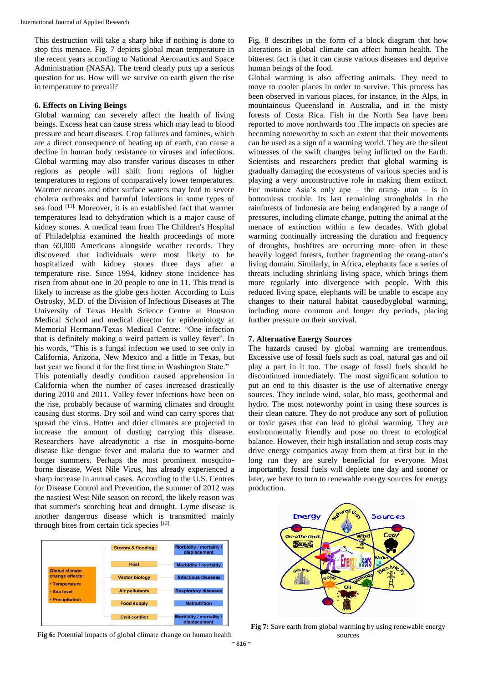This destruction will take a sharp hike if nothing is done to stop this menace. Fig. 7 depicts global mean temperature in the recent years according to National Aeronautics and Space Administration (NASA). The trend clearly puts up a serious question for us. How will we survive on earth given the rise in temperature to prevail?

## **6. Effects on Living Beings**

Global warming can severely affect the health of living beings. Excess heat can cause stress which may lead to blood pressure and heart diseases. Crop failures and famines, which are a direct consequence of heating up of earth, can cause a decline in human body resistance to viruses and infections. Global warming may also transfer various diseases to other regions as people will shift from regions of higher temperatures to regions of comparatively lower temperatures. Warmer oceans and other surface waters may lead to severe cholera outbreaks and harmful infections in some types of sea food [11]. Moreover, it is an established fact that warmer temperatures lead to dehydration which is a major cause of kidney stones. A medical team from The Children's Hospital of Philadelphia examined the health proceedings of more than 60,000 Americans alongside weather records. They discovered that individuals were most likely to be hospitalized with kidney stones three days after a temperature rise. Since 1994, kidney stone incidence has risen from about one in 20 people to one in 11. This trend is likely to increase as the globe gets hotter. According to Luis Ostrosky, M.D. of the Division of Infectious Diseases at The University of Texas Health Science Centre at Houston Medical School and medical director for epidemiology at Memorial Hermann-Texas Medical Centre: "One infection that is definitely making a weird pattern is valley fever". In his words, "This is a fungal infection we used to see only in California, Arizona, New Mexico and a little in Texas, but last year we found it for the first time in Washington State." This potentially deadly condition caused apprehension in California when the number of cases increased drastically during 2010 and 2011. Valley fever infections have been on the rise, probably because of warming climates and drought causing dust storms. Dry soil and wind can carry spores that spread the virus. Hotter and drier climates are projected to increase the amount of dusting carrying this disease. Researchers have alreadynotic a rise in mosquito-borne disease like dengue fever and malaria due to warmer and longer summers. Perhaps the most prominent mosquitoborne disease, West Nile Virus, has already experienced a sharp increase in annual cases. According to the U.S. Centres for Disease Control and Prevention, the summer of 2012 was the nastiest West Nile season on record, the likely reason was

Storms & flooding idity / mortality lity / mor Global climate change effects tor biology Temperature pollutants Sea level Precipitation **Civil conflict** Morbidity / mortality

that summer's scorching heat and drought. Lyme disease is another dangerous disease which is transmitted mainly

through bites from certain tick species [12]

Fig 6: Potential impacts of global climate change on human health

Fig. 8 describes in the form of a block diagram that how alterations in global climate can affect human health. The bitterest fact is that it can cause various diseases and deprive human beings of the food.

Global warming is also affecting animals. They need to move to cooler places in order to survive. This process has been observed in various places, for instance, in the Alps, in mountainous Queensland in Australia, and in the misty forests of Costa Rica. Fish in the North Sea have been reported to move northwards too .The impacts on species are becoming noteworthy to such an extent that their movements can be used as a sign of a warming world. They are the silent witnesses of the swift changes being inflicted on the Earth. Scientists and researchers predict that global warming is gradually damaging the ecosystems of various species and is playing a very unconstructive role in making them extinct. For instance Asia's only ape – the orang- utan – is in bottomless trouble. Its last remaining strongholds in the rainforests of Indonesia are being endangered by a range of pressures, including climate change, putting the animal at the menace of extinction within a few decades. With global warming continually increasing the duration and frequency of droughts, bushfires are occurring more often in these heavily logged forests, further fragmenting the orang-utan's living domain. Similarly, in Africa, elephants face a series of threats including shrinking living space, which brings them more regularly into divergence with people. With this reduced living space, elephants will be unable to escape any changes to their natural habitat causedbyglobal warming, including more common and longer dry periods, placing further pressure on their survival.

## **7. Alternative Energy Sources**

The hazards caused by global warming are tremendous. Excessive use of fossil fuels such as coal, natural gas and oil play a part in it too. The usage of fossil fuels should be discontinued immediately. The most significant solution to put an end to this disaster is the use of alternative energy sources. They include wind, solar, bio mass, geothermal and hydro. The most noteworthy point in using these sources is their clean nature. They do not produce any sort of pollution or toxic gases that can lead to global warming. They are environmentally friendly and pose no threat to ecological balance. However, their high installation and setup costs may drive energy companies away from them at first but in the long run they are surely beneficial for everyone. Most importantly, fossil fuels will deplete one day and sooner or later, we have to turn to renewable energy sources for energy production.



**Fig 7:** Save earth from global warming by using renewable energy sources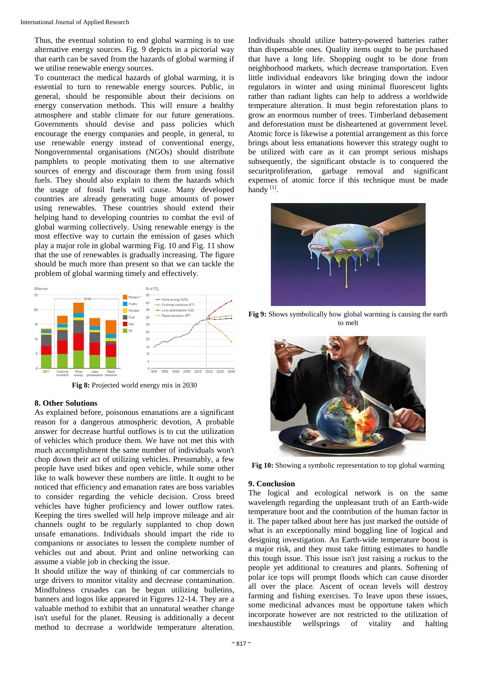Thus, the eventual solution to end global warming is to use alternative energy sources. Fig. 9 depicts in a pictorial way that earth can be saved from the hazards of global warming if we utilise renewable energy sources.

To counteract the medical hazards of global warming, it is essential to turn to renewable energy sources. Public, in general, should be responsible about their decisions on energy conservation methods. This will ensure a healthy atmosphere and stable climate for our future generations. Governments should devise and pass policies which encourage the energy companies and people, in general, to use renewable energy instead of conventional energy, Nongovernmental organisations (NGOs) should distribute pamphlets to people motivating them to use alternative sources of energy and discourage them from using fossil fuels. They should also explain to them the hazards which the usage of fossil fuels will cause. Many developed countries are already generating huge amounts of power using renewables. These countries should extend their helping hand to developing countries to combat the evil of global warming collectively. Using renewable energy is the most effective way to curtain the emission of gases which play a major role in global warming Fig. 10 and Fig. 11 show that the use of renewables is gradually increasing. The figure should be much more than present so that we can tackle the problem of global warming timely and effectively.



**Fig 8:** Projected world energy mix in 2030

## **8. Other Solutions**

As explained before, poisonous emanations are a significant reason for a dangerous atmospheric devotion, A probable answer for decrease hurtful outflows is to cut the utilization of vehicles which produce them. We have not met this with much accomplishment the same number of individuals won't chop down their act of utilizing vehicles. Presumably, a few people have used bikes and open vehicle, while some other like to walk however these numbers are little. It ought to be noticed that efficiency and emanation rates are boss variables to consider regarding the vehicle decision. Cross breed vehicles have higher proficiency and lower outflow rates. Keeping the tires swelled will help improve mileage and air channels ought to be regularly supplanted to chop down unsafe emanations. Individuals should impart the ride to companions or associates to lessen the complete number of vehicles out and about. Print and online networking can assume a viable job in checking the issue.

It should utilize the way of thinking of car commercials to urge drivers to monitor vitality and decrease contamination. Mindfulness crusades can be begun utilizing bulletins, banners and logos like appeared in Figures 12-14. They are a valuable method to exhibit that an unnatural weather change isn't useful for the planet. Reusing is additionally a decent method to decrease a worldwide temperature alteration.

Individuals should utilize battery-powered batteries rather than dispensable ones. Quality items ought to be purchased that have a long life. Shopping ought to be done from neighborhood markets, which decrease transportation. Even little individual endeavors like bringing down the indoor regulators in winter and using minimal fluorescent lights rather than radiant lights can help to address a worldwide temperature alteration. It must begin reforestation plans to grow an enormous number of trees. Timberland debasement and deforestation must be disheartened at government level. Atomic force is likewise a potential arrangement as this force brings about less emanations however this strategy ought to be utilized with care as it can prompt serious mishaps subsequently, the significant obstacle is to conquered the securitproliferation, garbage removal and significant expenses of atomic force if this technique must be made handy<sup>[1]</sup>.



**Fig 9:** Shows symbolically how global warming is causing the earth to melt



**Fig 10:** Showing a symbolic representation to top global warming

## **9. Conclusion**

The logical and ecological network is on the same wavelength regarding the unpleasant truth of an Earth-wide temperature boot and the contribution of the human factor in it. The paper talked about here has just marked the outside of what is an exceptionally mind boggling line of logical and designing investigation. An Earth-wide temperature boost is a major risk, and they must take fitting estimates to handle this tough issue. This issue isn't just raising a ruckus to the people yet additional to creatures and plants. Softening of polar ice tops will prompt floods which can cause disorder all over the place. Ascent of ocean levels will destroy farming and fishing exercises. To leave upon these issues, some medicinal advances must be opportune taken which incorporate however are not restricted to the utilization of inexhaustible wellsprings of vitality and halting